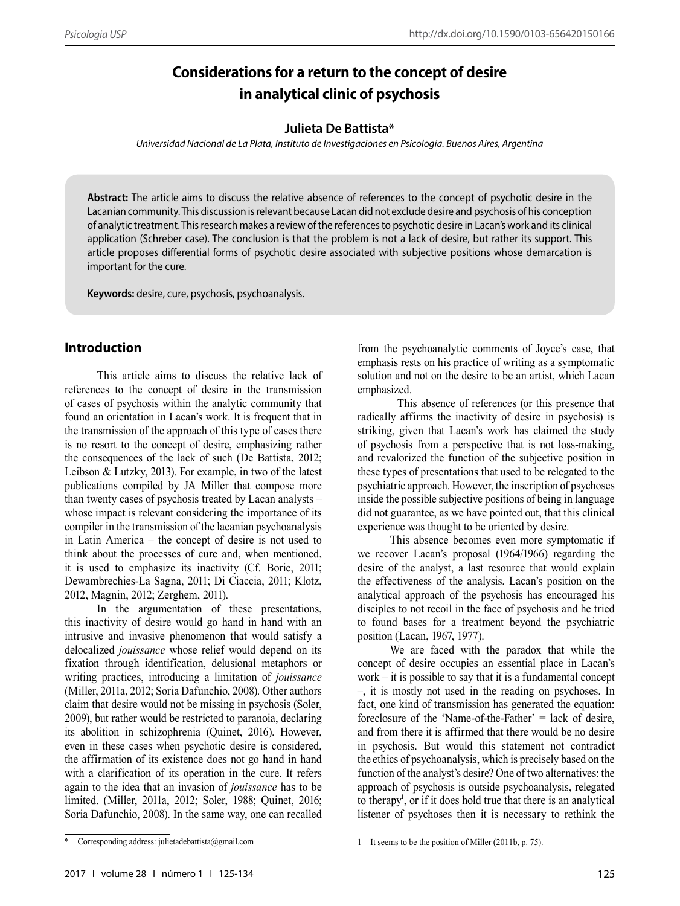# **Considerations for a return to the concept of desire in analytical clinic of psychosis**

#### **Julieta De Battista\***

*Universidad Nacional de La Plata, Instituto de Investigaciones en Psicología. Buenos Aires, Argentina*

**Abstract:** The article aims to discuss the relative absence of references to the concept of psychotic desire in the Lacanian community. This discussion is relevant because Lacan did not exclude desire and psychosis of his conception of analytic treatment. This research makes a review of the references to psychotic desire in Lacan's work and its clinical application (Schreber case). The conclusion is that the problem is not a lack of desire, but rather its support. This article proposes differential forms of psychotic desire associated with subjective positions whose demarcation is important for the cure.

**Keywords:** desire, cure, psychosis, psychoanalysis.

### **Introduction**

This article aims to discuss the relative lack of references to the concept of desire in the transmission of cases of psychosis within the analytic community that found an orientation in Lacan's work. It is frequent that in the transmission of the approach of this type of cases there is no resort to the concept of desire, emphasizing rather the consequences of the lack of such (De Battista, 2012; Leibson & Lutzky, 2013). For example, in two of the latest publications compiled by JA Miller that compose more than twenty cases of psychosis treated by Lacan analysts – whose impact is relevant considering the importance of its compiler in the transmission of the lacanian psychoanalysis in Latin America – the concept of desire is not used to think about the processes of cure and, when mentioned, it is used to emphasize its inactivity (Cf. Borie, 2011; Dewambrechies-La Sagna, 2011; Di Ciaccia, 2011; Klotz, 2012, Magnin, 2012; Zerghem, 2011).

In the argumentation of these presentations, this inactivity of desire would go hand in hand with an intrusive and invasive phenomenon that would satisfy a delocalized *jouissance* whose relief would depend on its fixation through identification, delusional metaphors or writing practices, introducing a limitation of *jouissance* (Miller, 2011a, 2012; Soria Dafunchio, 2008). Other authors claim that desire would not be missing in psychosis (Soler, 2009), but rather would be restricted to paranoia, declaring its abolition in schizophrenia (Quinet, 2016). However, even in these cases when psychotic desire is considered, the affirmation of its existence does not go hand in hand with a clarification of its operation in the cure. It refers again to the idea that an invasion of *jouissance* has to be limited. (Miller, 2011a, 2012; Soler, 1988; Quinet, 2016; Soria Dafunchio, 2008). In the same way, one can recalled

from the psychoanalytic comments of Joyce's case, that emphasis rests on his practice of writing as a symptomatic solution and not on the desire to be an artist, which Lacan emphasized.

 This absence of references (or this presence that radically affirms the inactivity of desire in psychosis) is striking, given that Lacan's work has claimed the study of psychosis from a perspective that is not loss-making, and revalorized the function of the subjective position in these types of presentations that used to be relegated to the psychiatric approach. However, the inscription of psychoses inside the possible subjective positions of being in language did not guarantee, as we have pointed out, that this clinical experience was thought to be oriented by desire.

This absence becomes even more symptomatic if we recover Lacan's proposal (1964/1966) regarding the desire of the analyst, a last resource that would explain the effectiveness of the analysis. Lacan's position on the analytical approach of the psychosis has encouraged his disciples to not recoil in the face of psychosis and he tried to found bases for a treatment beyond the psychiatric position (Lacan, 1967, 1977).

We are faced with the paradox that while the concept of desire occupies an essential place in Lacan's work – it is possible to say that it is a fundamental concept –, it is mostly not used in the reading on psychoses. In fact, one kind of transmission has generated the equation: foreclosure of the 'Name-of-the-Father' = lack of desire, and from there it is affirmed that there would be no desire in psychosis. But would this statement not contradict the ethics of psychoanalysis, which is precisely based on the function of the analyst's desire? One of two alternatives: the approach of psychosis is outside psychoanalysis, relegated to therapy<sup>1</sup>, or if it does hold true that there is an analytical listener of psychoses then it is necessary to rethink the

<sup>\*</sup> Corresponding address: julietadebattista@gmail.com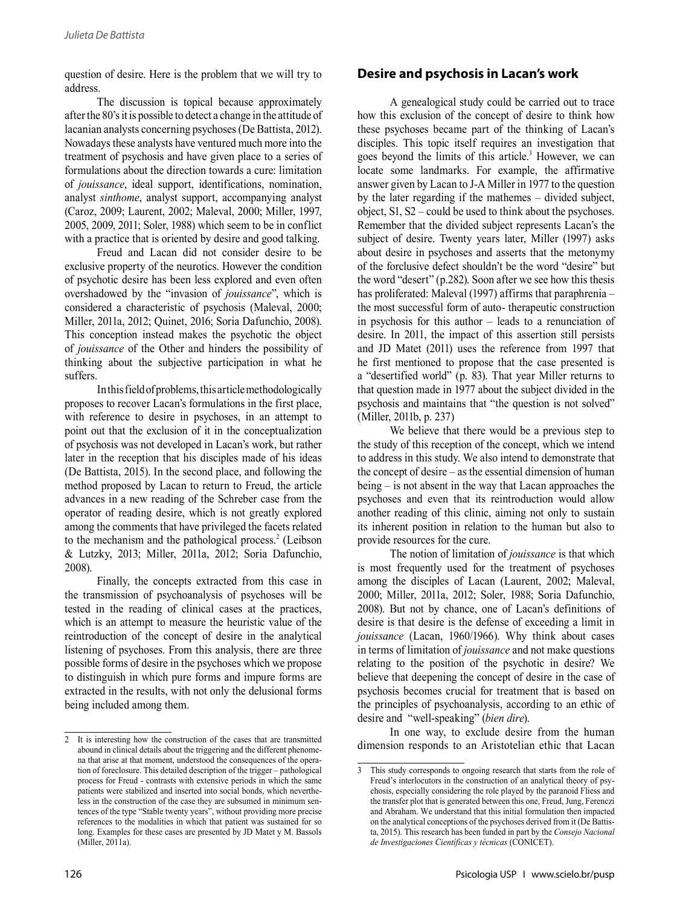question of desire. Here is the problem that we will try to address.

The discussion is topical because approximately after the 80's it is possible to detect a change in the attitude of lacanian analysts concerning psychoses (De Battista, 2012). Nowadays these analysts have ventured much more into the treatment of psychosis and have given place to a series of formulations about the direction towards a cure: limitation of *jouissance*, ideal support, identifications, nomination, analyst *sinthome*, analyst support, accompanying analyst (Caroz, 2009; Laurent, 2002; Maleval, 2000; Miller, 1997, 2005, 2009, 2011; Soler, 1988) which seem to be in conflict with a practice that is oriented by desire and good talking.

Freud and Lacan did not consider desire to be exclusive property of the neurotics. However the condition of psychotic desire has been less explored and even often overshadowed by the "invasion of *jouissance*", which is considered a characteristic of psychosis (Maleval, 2000; Miller, 2011a, 2012; Quinet, 2016; Soria Dafunchio, 2008). This conception instead makes the psychotic the object of *jouissance* of the Other and hinders the possibility of thinking about the subjective participation in what he suffers.

In this field of problems, this article methodologically proposes to recover Lacan's formulations in the first place, with reference to desire in psychoses, in an attempt to point out that the exclusion of it in the conceptualization of psychosis was not developed in Lacan's work, but rather later in the reception that his disciples made of his ideas (De Battista, 2015). In the second place, and following the method proposed by Lacan to return to Freud, the article advances in a new reading of the Schreber case from the operator of reading desire, which is not greatly explored among the comments that have privileged the facets related to the mechanism and the pathological process.<sup>2</sup> (Leibson & Lutzky, 2013; Miller, 2011a, 2012; Soria Dafunchio, 2008).

Finally, the concepts extracted from this case in the transmission of psychoanalysis of psychoses will be tested in the reading of clinical cases at the practices, which is an attempt to measure the heuristic value of the reintroduction of the concept of desire in the analytical listening of psychoses. From this analysis, there are three possible forms of desire in the psychoses which we propose to distinguish in which pure forms and impure forms are extracted in the results, with not only the delusional forms being included among them.

# **Desire and psychosis in Lacan's work**

A genealogical study could be carried out to trace how this exclusion of the concept of desire to think how these psychoses became part of the thinking of Lacan's disciples. This topic itself requires an investigation that goes beyond the limits of this article.<sup>3</sup> However, we can locate some landmarks. For example, the affirmative answer given by Lacan to J-A Miller in 1977 to the question by the later regarding if the mathemes – divided subject, object, S1, S2 – could be used to think about the psychoses. Remember that the divided subject represents Lacan's the subject of desire. Twenty years later, Miller (1997) asks about desire in psychoses and asserts that the metonymy of the forclusive defect shouldn't be the word "desire" but the word "desert" (p.282). Soon after we see how this thesis has proliferated: Maleval (1997) affirms that paraphrenia – the most successful form of auto- therapeutic construction in psychosis for this author – leads to a renunciation of desire. In 2011, the impact of this assertion still persists and JD Matet (2011) uses the reference from 1997 that he first mentioned to propose that the case presented is a "desertified world" (p. 83). That year Miller returns to that question made in 1977 about the subject divided in the psychosis and maintains that "the question is not solved" (Miller, 2011b, p. 237)

We believe that there would be a previous step to the study of this reception of the concept, which we intend to address in this study. We also intend to demonstrate that the concept of desire – as the essential dimension of human being – is not absent in the way that Lacan approaches the psychoses and even that its reintroduction would allow another reading of this clinic, aiming not only to sustain its inherent position in relation to the human but also to provide resources for the cure.

The notion of limitation of *jouissance* is that which is most frequently used for the treatment of psychoses among the disciples of Lacan (Laurent, 2002; Maleval, 2000; Miller, 2011a, 2012; Soler, 1988; Soria Dafunchio, 2008). But not by chance, one of Lacan's definitions of desire is that desire is the defense of exceeding a limit in *jouissance* (Lacan, 1960/1966). Why think about cases in terms of limitation of *jouissance* and not make questions relating to the position of the psychotic in desire? We believe that deepening the concept of desire in the case of psychosis becomes crucial for treatment that is based on the principles of psychoanalysis, according to an ethic of desire and "well-speaking" (*bien dire*).

In one way, to exclude desire from the human dimension responds to an Aristotelian ethic that Lacan

<sup>2</sup> It is interesting how the construction of the cases that are transmitted abound in clinical details about the triggering and the different phenomena that arise at that moment, understood the consequences of the operation of foreclosure. This detailed description of the trigger – pathological process for Freud - contrasts with extensive periods in which the same less in the construction of the case they are subsumed in minimum sentences of the type "Stable twenty years", without providing more precise references to the modalities in which that patient was sustained for so long. Examples for these cases are presented by JD Matet y M. Bassols (Miller, 2011a).

<sup>3</sup> This study corresponds to ongoing research that starts from the role of Freud's interlocutors in the construction of an analytical theory of psychosis, especially considering the role played by the paranoid Fliess and the transfer plot that is generated between this one, Freud, Jung, Ferenczi and Abraham. We understand that this initial formulation then impacted on the analytical conceptions of the psychoses derived from it (De Battista, 2015). This research has been funded in part by the *Consejo Nacional de Investigaciones Científicas y técnicas* (CONICET).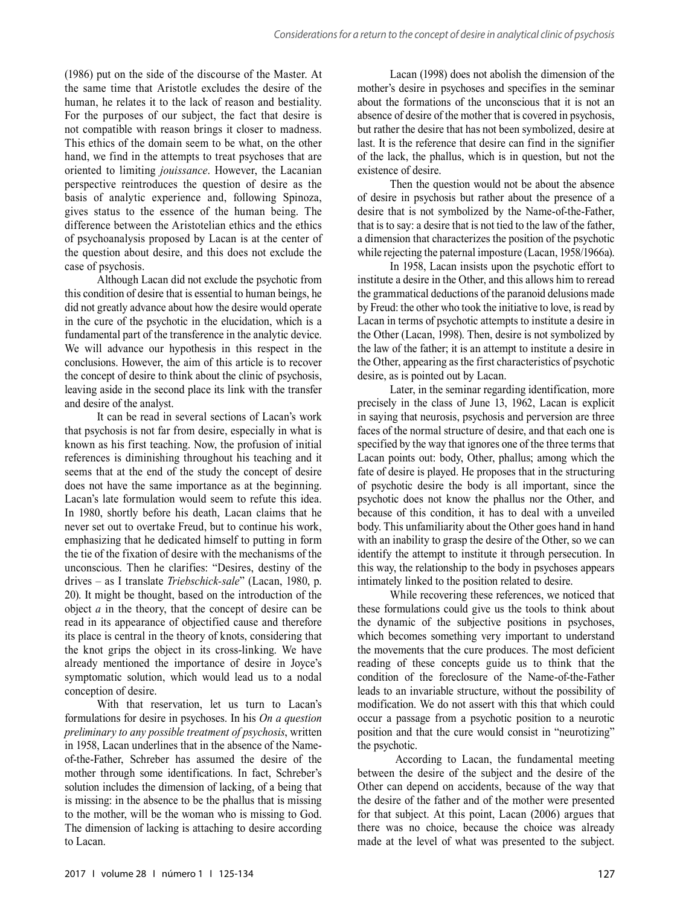(1986) put on the side of the discourse of the Master. At the same time that Aristotle excludes the desire of the human, he relates it to the lack of reason and bestiality. For the purposes of our subject, the fact that desire is not compatible with reason brings it closer to madness. This ethics of the domain seem to be what, on the other hand, we find in the attempts to treat psychoses that are oriented to limiting *jouissance*. However, the Lacanian perspective reintroduces the question of desire as the basis of analytic experience and, following Spinoza, gives status to the essence of the human being. The difference between the Aristotelian ethics and the ethics of psychoanalysis proposed by Lacan is at the center of the question about desire, and this does not exclude the case of psychosis.

Although Lacan did not exclude the psychotic from this condition of desire that is essential to human beings, he did not greatly advance about how the desire would operate in the cure of the psychotic in the elucidation, which is a fundamental part of the transference in the analytic device. We will advance our hypothesis in this respect in the conclusions. However, the aim of this article is to recover the concept of desire to think about the clinic of psychosis, leaving aside in the second place its link with the transfer and desire of the analyst.

It can be read in several sections of Lacan's work that psychosis is not far from desire, especially in what is known as his first teaching. Now, the profusion of initial references is diminishing throughout his teaching and it seems that at the end of the study the concept of desire does not have the same importance as at the beginning. Lacan's late formulation would seem to refute this idea. In 1980, shortly before his death, Lacan claims that he never set out to overtake Freud, but to continue his work, emphasizing that he dedicated himself to putting in form the tie of the fixation of desire with the mechanisms of the unconscious. Then he clarifies: "Desires, destiny of the drives – as I translate *Triebschick-sale*" (Lacan, 1980, p. 20). It might be thought, based on the introduction of the object *a* in the theory, that the concept of desire can be read in its appearance of objectified cause and therefore its place is central in the theory of knots, considering that the knot grips the object in its cross-linking. We have already mentioned the importance of desire in Joyce's symptomatic solution, which would lead us to a nodal conception of desire.

With that reservation, let us turn to Lacan's formulations for desire in psychoses. In his *On a question preliminary to any possible treatment of psychosis*, written in 1958, Lacan underlines that in the absence of the Nameof-the-Father, Schreber has assumed the desire of the mother through some identifications. In fact, Schreber's solution includes the dimension of lacking, of a being that is missing: in the absence to be the phallus that is missing to the mother, will be the woman who is missing to God. The dimension of lacking is attaching to desire according to Lacan.

Lacan (1998) does not abolish the dimension of the mother's desire in psychoses and specifies in the seminar about the formations of the unconscious that it is not an absence of desire of the mother that is covered in psychosis, but rather the desire that has not been symbolized, desire at last. It is the reference that desire can find in the signifier of the lack, the phallus, which is in question, but not the existence of desire.

Then the question would not be about the absence of desire in psychosis but rather about the presence of a desire that is not symbolized by the Name-of-the-Father, that is to say: a desire that is not tied to the law of the father, a dimension that characterizes the position of the psychotic while rejecting the paternal imposture (Lacan, 1958/1966a).

In 1958, Lacan insists upon the psychotic effort to institute a desire in the Other, and this allows him to reread the grammatical deductions of the paranoid delusions made by Freud: the other who took the initiative to love, is read by Lacan in terms of psychotic attempts to institute a desire in the Other (Lacan, 1998). Then, desire is not symbolized by the law of the father; it is an attempt to institute a desire in the Other, appearing as the first characteristics of psychotic desire, as is pointed out by Lacan.

Later, in the seminar regarding identification, more precisely in the class of June 13, 1962, Lacan is explicit in saying that neurosis, psychosis and perversion are three faces of the normal structure of desire, and that each one is specified by the way that ignores one of the three terms that Lacan points out: body, Other, phallus; among which the fate of desire is played. He proposes that in the structuring of psychotic desire the body is all important, since the psychotic does not know the phallus nor the Other, and because of this condition, it has to deal with a unveiled body. This unfamiliarity about the Other goes hand in hand with an inability to grasp the desire of the Other, so we can identify the attempt to institute it through persecution. In this way, the relationship to the body in psychoses appears intimately linked to the position related to desire.

While recovering these references, we noticed that these formulations could give us the tools to think about the dynamic of the subjective positions in psychoses, which becomes something very important to understand the movements that the cure produces. The most deficient reading of these concepts guide us to think that the condition of the foreclosure of the Name-of-the-Father leads to an invariable structure, without the possibility of modification. We do not assert with this that which could occur a passage from a psychotic position to a neurotic position and that the cure would consist in "neurotizing" the psychotic.

 According to Lacan, the fundamental meeting between the desire of the subject and the desire of the Other can depend on accidents, because of the way that the desire of the father and of the mother were presented for that subject. At this point, Lacan (2006) argues that there was no choice, because the choice was already made at the level of what was presented to the subject.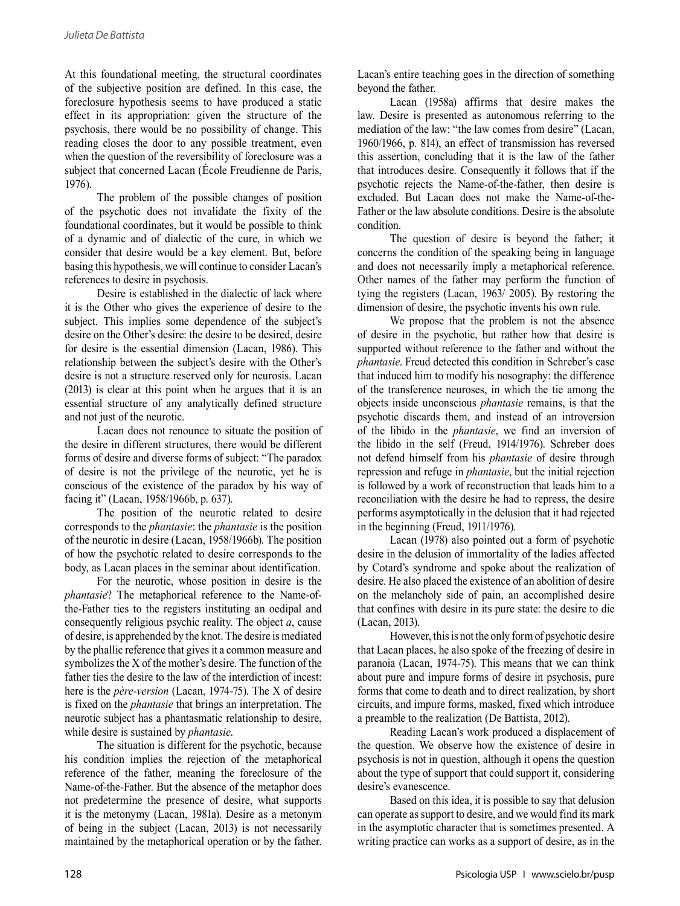At this foundational meeting, the structural coordinates of the subjective position are defined. In this case, the foreclosure hypothesis seems to have produced a static effect in its appropriation: given the structure of the psychosis, there would be no possibility of change. This reading closes the door to any possible treatment, even when the question of the reversibility of foreclosure was a subject that concerned Lacan (École Freudienne de Paris, 1976).

The problem of the possible changes of position of the psychotic does not invalidate the fixity of the foundational coordinates, but it would be possible to think of a dynamic and of dialectic of the cure, in which we consider that desire would be a key element. But, before basing this hypothesis, we will continue to consider Lacan's references to desire in psychosis.

Desire is established in the dialectic of lack where it is the Other who gives the experience of desire to the subject. This implies some dependence of the subject's desire on the Other's desire: the desire to be desired, desire for desire is the essential dimension (Lacan, 1986). This relationship between the subject's desire with the Other's desire is not a structure reserved only for neurosis. Lacan (2013) is clear at this point when he argues that it is an essential structure of any analytically defined structure and not just of the neurotic.

Lacan does not renounce to situate the position of the desire in different structures, there would be different forms of desire and diverse forms of subject: "The paradox of desire is not the privilege of the neurotic, yet he is conscious of the existence of the paradox by his way of facing it" (Lacan, 1958/1966b, p. 637).

The position of the neurotic related to desire corresponds to the *phantasie*: the *phantasie* is the position of the neurotic in desire (Lacan, 1958/1966b). The position of how the psychotic related to desire corresponds to the body, as Lacan places in the seminar about identification.

For the neurotic, whose position in desire is the *phantasie*? The metaphorical reference to the Name-ofthe-Father ties to the registers instituting an oedipal and consequently religious psychic reality. The object *a*, cause of desire, is apprehended by the knot. The desire is mediated by the phallic reference that gives it a common measure and symbolizes the X of the mother's desire. The function of the father ties the desire to the law of the interdiction of incest: here is the *père-version* (Lacan, 1974-75). The X of desire is fixed on the *phantasie* that brings an interpretation. The neurotic subject has a phantasmatic relationship to desire, while desire is sustained by *phantasie*.

The situation is different for the psychotic, because his condition implies the rejection of the metaphorical reference of the father, meaning the foreclosure of the Name-of-the-Father. But the absence of the metaphor does not predetermine the presence of desire, what supports it is the metonymy (Lacan, 1981a). Desire as a metonym of being in the subject (Lacan, 2013) is not necessarily maintained by the metaphorical operation or by the father.

Lacan's entire teaching goes in the direction of something beyond the father.

Lacan (1958a) affirms that desire makes the law. Desire is presented as autonomous referring to the mediation of the law: "the law comes from desire" (Lacan, 1960/1966, p. 814), an effect of transmission has reversed this assertion, concluding that it is the law of the father that introduces desire. Consequently it follows that if the psychotic rejects the Name-of-the-father, then desire is excluded. But Lacan does not make the Name-of-the-Father or the law absolute conditions. Desire is the absolute condition.

The question of desire is beyond the father; it concerns the condition of the speaking being in language and does not necessarily imply a metaphorical reference. Other names of the father may perform the function of tying the registers (Lacan, 1963/ 2005). By restoring the dimension of desire, the psychotic invents his own rule.

We propose that the problem is not the absence of desire in the psychotic, but rather how that desire is supported without reference to the father and without the *phantasie*. Freud detected this condition in Schreber's case that induced him to modify his nosography: the difference of the transference neuroses, in which the tie among the objects inside unconscious *phantasie* remains, is that the psychotic discards them, and instead of an introversion of the libido in the *phantasie*, we find an inversion of the libido in the self (Freud, 1914/1976). Schreber does not defend himself from his *phantasie* of desire through repression and refuge in *phantasie*, but the initial rejection is followed by a work of reconstruction that leads him to a reconciliation with the desire he had to repress, the desire performs asymptotically in the delusion that it had rejected in the beginning (Freud, 1911/1976).

Lacan (1978) also pointed out a form of psychotic desire in the delusion of immortality of the ladies affected by Cotard's syndrome and spoke about the realization of desire. He also placed the existence of an abolition of desire on the melancholy side of pain, an accomplished desire that confines with desire in its pure state: the desire to die (Lacan, 2013).

However, this is not the only form of psychotic desire that Lacan places, he also spoke of the freezing of desire in paranoia (Lacan, 1974-75). This means that we can think about pure and impure forms of desire in psychosis, pure forms that come to death and to direct realization, by short circuits, and impure forms, masked, fixed which introduce a preamble to the realization (De Battista, 2012).

Reading Lacan's work produced a displacement of the question. We observe how the existence of desire in psychosis is not in question, although it opens the question about the type of support that could support it, considering desire's evanescence.

Based on this idea, it is possible to say that delusion can operate as support to desire, and we would find its mark in the asymptotic character that is sometimes presented. A writing practice can works as a support of desire, as in the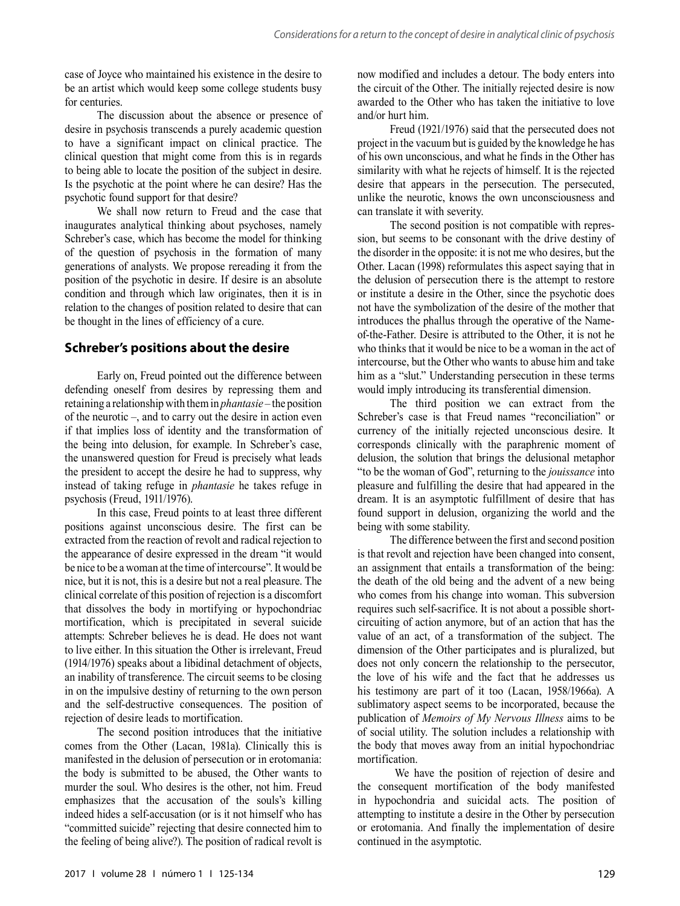case of Joyce who maintained his existence in the desire to be an artist which would keep some college students busy for centuries.

The discussion about the absence or presence of desire in psychosis transcends a purely academic question to have a significant impact on clinical practice. The clinical question that might come from this is in regards to being able to locate the position of the subject in desire. Is the psychotic at the point where he can desire? Has the psychotic found support for that desire?

We shall now return to Freud and the case that inaugurates analytical thinking about psychoses, namely Schreber's case, which has become the model for thinking of the question of psychosis in the formation of many generations of analysts. We propose rereading it from the position of the psychotic in desire. If desire is an absolute condition and through which law originates, then it is in relation to the changes of position related to desire that can be thought in the lines of efficiency of a cure.

### **Schreber's positions about the desire**

Early on, Freud pointed out the difference between defending oneself from desires by repressing them and retaining a relationship with them in *phantasie* – the position of the neurotic –, and to carry out the desire in action even if that implies loss of identity and the transformation of the being into delusion, for example. In Schreber's case, the unanswered question for Freud is precisely what leads the president to accept the desire he had to suppress, why instead of taking refuge in *phantasie* he takes refuge in psychosis (Freud, 1911/1976).

In this case, Freud points to at least three different positions against unconscious desire. The first can be extracted from the reaction of revolt and radical rejection to the appearance of desire expressed in the dream "it would be nice to be a woman at the time of intercourse". It would be nice, but it is not, this is a desire but not a real pleasure. The clinical correlate of this position of rejection is a discomfort that dissolves the body in mortifying or hypochondriac mortification, which is precipitated in several suicide attempts: Schreber believes he is dead. He does not want to live either. In this situation the Other is irrelevant, Freud (1914/1976) speaks about a libidinal detachment of objects, an inability of transference. The circuit seems to be closing in on the impulsive destiny of returning to the own person and the self-destructive consequences. The position of rejection of desire leads to mortification.

The second position introduces that the initiative comes from the Other (Lacan, 1981a). Clinically this is manifested in the delusion of persecution or in erotomania: the body is submitted to be abused, the Other wants to murder the soul. Who desires is the other, not him. Freud emphasizes that the accusation of the souls's killing indeed hides a self-accusation (or is it not himself who has "committed suicide" rejecting that desire connected him to the feeling of being alive?). The position of radical revolt is now modified and includes a detour. The body enters into the circuit of the Other. The initially rejected desire is now awarded to the Other who has taken the initiative to love and/or hurt him.

Freud (1921/1976) said that the persecuted does not project in the vacuum but is guided by the knowledge he has of his own unconscious, and what he finds in the Other has similarity with what he rejects of himself. It is the rejected desire that appears in the persecution. The persecuted, unlike the neurotic, knows the own unconsciousness and can translate it with severity.

The second position is not compatible with repres sion, but seems to be consonant with the drive destiny of the disorder in the opposite: it is not me who desires, but the Other. Lacan (1998) reformulates this aspect saying that in the delusion of persecution there is the attempt to restore or institute a desire in the Other, since the psychotic does not have the symbolization of the desire of the mother that introduces the phallus through the operative of the Nameof-the-Father. Desire is attributed to the Other, it is not he who thinks that it would be nice to be a woman in the act of intercourse, but the Other who wants to abuse him and take him as a "slut." Understanding persecution in these terms would imply introducing its transferential dimension.

The third position we can extract from the Schreber's case is that Freud names "reconciliation" or currency of the initially rejected unconscious desire. It corresponds clinically with the paraphrenic moment of delusion, the solution that brings the delusional metaphor "to be the woman of God", returning to the *jouissance* into pleasure and fulfilling the desire that had appeared in the dream. It is an asymptotic fulfillment of desire that has found support in delusion, organizing the world and the being with some stability.

The difference between the first and second position is that revolt and rejection have been changed into consent, an assignment that entails a transformation of the being: the death of the old being and the advent of a new being who comes from his change into woman. This subversion requires such self-sacrifice. It is not about a possible shortcircuiting of action anymore, but of an action that has the value of an act, of a transformation of the subject. The dimension of the Other participates and is pluralized, but does not only concern the relationship to the persecutor, the love of his wife and the fact that he addresses us his testimony are part of it too (Lacan, 1958/1966a). A sublimatory aspect seems to be incorporated, because the publication of *Memoirs of My Nervous Illness* aims to be of social utility. The solution includes a relationship with the body that moves away from an initial hypochondriac mortification.

 We have the position of rejection of desire and the consequent mortification of the body manifested in hypochondria and suicidal acts. The position of attempting to institute a desire in the Other by persecution or erotomania. And finally the implementation of desire continued in the asymptotic.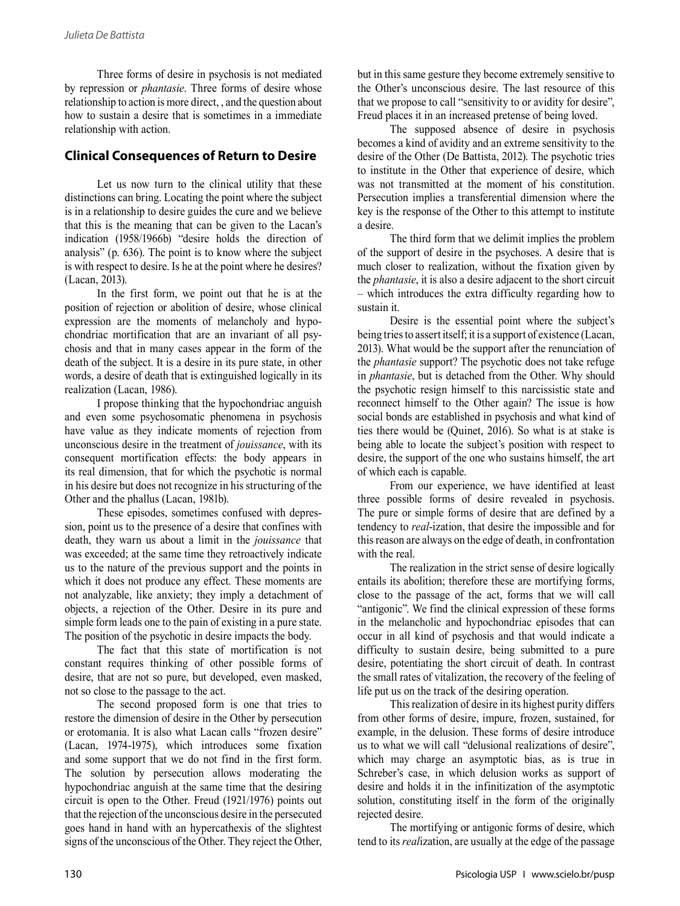Three forms of desire in psychosis is not mediated by repression or *phantasie*. Three forms of desire whose relationship to action is more direct, , and the question about how to sustain a desire that is sometimes in a immediate relationship with action.

## **Clinical Consequences of Return to Desire**

Let us now turn to the clinical utility that these distinctions can bring. Locating the point where the subject is in a relationship to desire guides the cure and we believe that this is the meaning that can be given to the Lacan's indication (1958/1966b) "desire holds the direction of analysis" (p. 636). The point is to know where the subject is with respect to desire. Is he at the point where he desires? (Lacan, 2013).

In the first form, we point out that he is at the position of rejection or abolition of desire, whose clinical expression are the moments of melancholy and hypo chondriac mortification that are an invariant of all psy chosis and that in many cases appear in the form of the death of the subject. It is a desire in its pure state, in other words, a desire of death that is extinguished logically in its realization (Lacan, 1986).

I propose thinking that the hypochondriac anguish and even some psychosomatic phenomena in psychosis have value as they indicate moments of rejection from unconscious desire in the treatment of *jouissance*, with its consequent mortification effects: the body appears in its real dimension, that for which the psychotic is normal in his desire but does not recognize in his structuring of the Other and the phallus (Lacan, 1981b).

These episodes, sometimes confused with depres sion, point us to the presence of a desire that confines with death, they warn us about a limit in the *jouissance* that was exceeded; at the same time they retroactively indicate us to the nature of the previous support and the points in which it does not produce any effect. These moments are not analyzable, like anxiety; they imply a detachment of objects, a rejection of the Other. Desire in its pure and simple form leads one to the pain of existing in a pure state. The position of the psychotic in desire impacts the body.

The fact that this state of mortification is not constant requires thinking of other possible forms of desire, that are not so pure, but developed, even masked, not so close to the passage to the act.

The second proposed form is one that tries to restore the dimension of desire in the Other by persecution or erotomania. It is also what Lacan calls "frozen desire" (Lacan, 1974-1975), which introduces some fixation and some support that we do not find in the first form. The solution by persecution allows moderating the hypochondriac anguish at the same time that the desiring circuit is open to the Other. Freud (1921/1976) points out that the rejection of the unconscious desire in the persecuted goes hand in hand with an hypercathexis of the slightest signs of the unconscious of the Other. They reject the Other, but in this same gesture they become extremely sensitive to the Other's unconscious desire. The last resource of this that we propose to call "sensitivity to or avidity for desire", Freud places it in an increased pretense of being loved.

The supposed absence of desire in psychosis becomes a kind of avidity and an extreme sensitivity to the desire of the Other (De Battista, 2012). The psychotic tries to institute in the Other that experience of desire, which was not transmitted at the moment of his constitution. Persecution implies a transferential dimension where the key is the response of the Other to this attempt to institute a desire.

The third form that we delimit implies the problem of the support of desire in the psychoses. A desire that is much closer to realization, without the fixation given by the *phantasie*, it is also a desire adjacent to the short circuit – which introduces the extra difficulty regarding how to sustain it.

Desire is the essential point where the subject's being tries to assert itself; it is a support of existence (Lacan, 2013). What would be the support after the renunciation of the *phantasie* support? The psychotic does not take refuge in *phantasie*, but is detached from the Other. Why should the psychotic resign himself to this narcissistic state and reconnect himself to the Other again? The issue is how social bonds are established in psychosis and what kind of ties there would be (Quinet, 2016). So what is at stake is being able to locate the subject's position with respect to desire, the support of the one who sustains himself, the art of which each is capable.

From our experience, we have identified at least three possible forms of desire revealed in psychosis. The pure or simple forms of desire that are defined by a tendency to *real*-ization, that desire the impossible and for this reason are always on the edge of death, in confrontation with the real.

The realization in the strict sense of desire logically entails its abolition; therefore these are mortifying forms, close to the passage of the act, forms that we will call "antigonic". We find the clinical expression of these forms in the melancholic and hypochondriac episodes that can occur in all kind of psychosis and that would indicate a difficulty to sustain desire, being submitted to a pure desire, potentiating the short circuit of death. In contrast the small rates of vitalization, the recovery of the feeling of life put us on the track of the desiring operation.

This realization of desire in its highest purity differs from other forms of desire, impure, frozen, sustained, for example, in the delusion. These forms of desire introduce us to what we will call "delusional realizations of desire", which may charge an asymptotic bias, as is true in Schreber's case, in which delusion works as support of desire and holds it in the infinitization of the asymptotic solution, constituting itself in the form of the originally rejected desire.

The mortifying or antigonic forms of desire, which tend to its *real*ization, are usually at the edge of the passage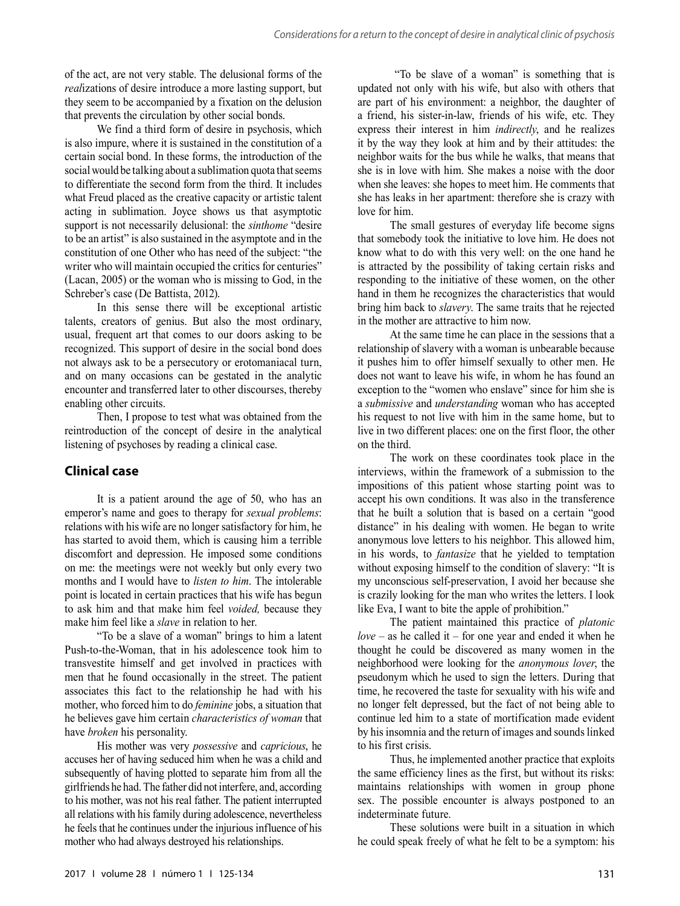of the act, are not very stable. The delusional forms of the *real*izations of desire introduce a more lasting support, but they seem to be accompanied by a fixation on the delusion that prevents the circulation by other social bonds.

We find a third form of desire in psychosis, which is also impure, where it is sustained in the constitution of a certain social bond. In these forms, the introduction of the social would be talking about a sublimation quota that seems to differentiate the second form from the third. It includes what Freud placed as the creative capacity or artistic talent acting in sublimation. Joyce shows us that asymptotic support is not necessarily delusional: the *sinthome* "desire to be an artist" is also sustained in the asymptote and in the constitution of one Other who has need of the subject: "the writer who will maintain occupied the critics for centuries" (Lacan, 2005) or the woman who is missing to God, in the Schreber's case (De Battista, 2012).

In this sense there will be exceptional artistic talents, creators of genius. But also the most ordinary, usual, frequent art that comes to our doors asking to be recognized. This support of desire in the social bond does not always ask to be a persecutory or erotomaniacal turn, and on many occasions can be gestated in the analytic encounter and transferred later to other discourses, thereby enabling other circuits.

Then, I propose to test what was obtained from the reintroduction of the concept of desire in the analytical listening of psychoses by reading a clinical case.

### **Clinical case**

It is a patient around the age of 50, who has an emperor's name and goes to therapy for *sexual problems*: relations with his wife are no longer satisfactory for him, he has started to avoid them, which is causing him a terrible discomfort and depression. He imposed some conditions on me: the meetings were not weekly but only every two months and I would have to *listen to him*. The intolerable point is located in certain practices that his wife has begun to ask him and that make him feel *voided,* because they make him feel like a *slave* in relation to her.

"To be a slave of a woman" brings to him a latent Push-to-the-Woman, that in his adolescence took him to transvestite himself and get involved in practices with men that he found occasionally in the street. The patient associates this fact to the relationship he had with his mother, who forced him to do *feminine* jobs, a situation that he believes gave him certain *characteristics of woman* that have *broken* his personality.

His mother was very *possessive* and *capricious*, he accuses her of having seduced him when he was a child and subsequently of having plotted to separate him from all the girlfriends he had. The father did not interfere, and, according to his mother, was not his real father. The patient interrupted all relations with his family during adolescence, nevertheless he feels that he continues under the injurious influence of his mother who had always destroyed his relationships.

 "To be slave of a woman" is something that is updated not only with his wife, but also with others that are part of his environment: a neighbor, the daughter of a friend, his sister-in-law, friends of his wife, etc. They express their interest in him *indirectly*, and he realizes it by the way they look at him and by their attitudes: the neighbor waits for the bus while he walks, that means that she is in love with him. She makes a noise with the door when she leaves: she hopes to meet him. He comments that she has leaks in her apartment: therefore she is crazy with love for him.

The small gestures of everyday life become signs that somebody took the initiative to love him. He does not know what to do with this very well: on the one hand he is attracted by the possibility of taking certain risks and responding to the initiative of these women, on the other hand in them he recognizes the characteristics that would bring him back to *slavery*. The same traits that he rejected in the mother are attractive to him now.

At the same time he can place in the sessions that a relationship of slavery with a woman is unbearable because it pushes him to offer himself sexually to other men. He does not want to leave his wife, in whom he has found an exception to the "women who enslave" since for him she is a *submissive* and *understanding* woman who has accepted his request to not live with him in the same home, but to live in two different places: one on the first floor, the other on the third.

The work on these coordinates took place in the interviews, within the framework of a submission to the impositions of this patient whose starting point was to accept his own conditions. It was also in the transference that he built a solution that is based on a certain "good distance" in his dealing with women. He began to write anonymous love letters to his neighbor. This allowed him, in his words, to *fantasize* that he yielded to temptation without exposing himself to the condition of slavery: "It is my unconscious self-preservation, I avoid her because she is crazily looking for the man who writes the letters. I look like Eva, I want to bite the apple of prohibition."

The patient maintained this practice of *platonic love* – as he called it – for one year and ended it when he thought he could be discovered as many women in the neighborhood were looking for the *anonymous lover*, the pseudonym which he used to sign the letters. During that time, he recovered the taste for sexuality with his wife and no longer felt depressed, but the fact of not being able to continue led him to a state of mortification made evident by his insomnia and the return of images and sounds linked to his first crisis.

Thus, he implemented another practice that exploits the same efficiency lines as the first, but without its risks: maintains relationships with women in group phone sex. The possible encounter is always postponed to an indeterminate future.

These solutions were built in a situation in which he could speak freely of what he felt to be a symptom: his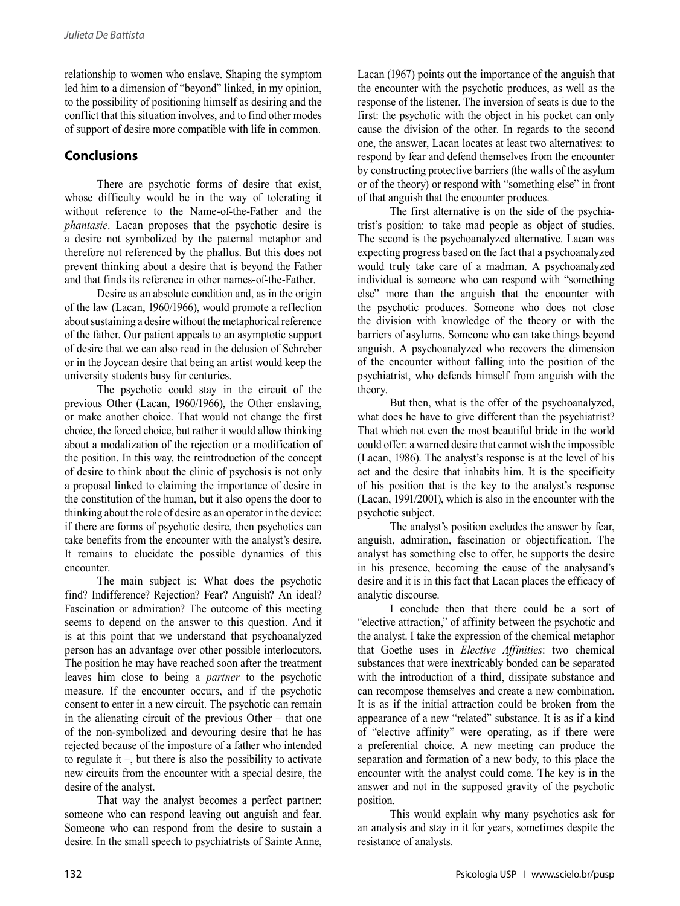relationship to women who enslave. Shaping the symptom led him to a dimension of "beyond" linked, in my opinion, to the possibility of positioning himself as desiring and the conflict that this situation involves, and to find other modes of support of desire more compatible with life in common.

# **Conclusions**

There are psychotic forms of desire that exist, whose difficulty would be in the way of tolerating it without reference to the Name-of-the-Father and the *phantasie*. Lacan proposes that the psychotic desire is a desire not symbolized by the paternal metaphor and therefore not referenced by the phallus. But this does not prevent thinking about a desire that is beyond the Father and that finds its reference in other names-of-the-Father.

Desire as an absolute condition and, as in the origin of the law (Lacan, 1960/1966), would promote a reflection about sustaining a desire without the metaphorical reference of the father. Our patient appeals to an asymptotic support of desire that we can also read in the delusion of Schreber or in the Joycean desire that being an artist would keep the university students busy for centuries.

The psychotic could stay in the circuit of the previous Other (Lacan, 1960/1966), the Other enslaving, or make another choice. That would not change the first choice, the forced choice, but rather it would allow thinking about a modalization of the rejection or a modification of the position. In this way, the reintroduction of the concept of desire to think about the clinic of psychosis is not only a proposal linked to claiming the importance of desire in the constitution of the human, but it also opens the door to thinking about the role of desire as an operator in the device: if there are forms of psychotic desire, then psychotics can take benefits from the encounter with the analyst's desire. It remains to elucidate the possible dynamics of this encounter.

The main subject is: What does the psychotic find? Indifference? Rejection? Fear? Anguish? An ideal? Fascination or admiration? The outcome of this meeting seems to depend on the answer to this question. And it is at this point that we understand that psychoanalyzed person has an advantage over other possible interlocutors. The position he may have reached soon after the treatment leaves him close to being a *partner* to the psychotic measure. If the encounter occurs, and if the psychotic consent to enter in a new circuit. The psychotic can remain in the alienating circuit of the previous Other – that one of the non-symbolized and devouring desire that he has rejected because of the imposture of a father who intended to regulate it –, but there is also the possibility to activate new circuits from the encounter with a special desire, the desire of the analyst.

That way the analyst becomes a perfect partner: someone who can respond leaving out anguish and fear. Someone who can respond from the desire to sustain a desire. In the small speech to psychiatrists of Sainte Anne,

Lacan (1967) points out the importance of the anguish that the encounter with the psychotic produces, as well as the response of the listener. The inversion of seats is due to the first: the psychotic with the object in his pocket can only cause the division of the other. In regards to the second one, the answer, Lacan locates at least two alternatives: to respond by fear and defend themselves from the encounter by constructing protective barriers (the walls of the asylum or of the theory) or respond with "something else" in front of that anguish that the encounter produces.

The first alternative is on the side of the psychia trist's position: to take mad people as object of studies. The second is the psychoanalyzed alternative. Lacan was expecting progress based on the fact that a psychoanalyzed would truly take care of a madman. A psychoanalyzed individual is someone who can respond with "something else" more than the anguish that the encounter with the psychotic produces. Someone who does not close the division with knowledge of the theory or with the barriers of asylums. Someone who can take things beyond anguish. A psychoanalyzed who recovers the dimension of the encounter without falling into the position of the psychiatrist, who defends himself from anguish with the theory.

But then, what is the offer of the psychoanalyzed, what does he have to give different than the psychiatrist? That which not even the most beautiful bride in the world could offer: a warned desire that cannot wish the impossible (Lacan, 1986). The analyst's response is at the level of his act and the desire that inhabits him. It is the specificity of his position that is the key to the analyst's response (Lacan, 1991/2001), which is also in the encounter with the psychotic subject.

The analyst's position excludes the answer by fear, anguish, admiration, fascination or objectification. The analyst has something else to offer, he supports the desire in his presence, becoming the cause of the analysand's desire and it is in this fact that Lacan places the efficacy of analytic discourse.

I conclude then that there could be a sort of "elective attraction," of affinity between the psychotic and the analyst. I take the expression of the chemical metaphor that Goethe uses in *Elective Affinities*: two chemical substances that were inextricably bonded can be separated with the introduction of a third, dissipate substance and can recompose themselves and create a new combination. It is as if the initial attraction could be broken from the appearance of a new "related" substance. It is as if a kind of "elective affinity" were operating, as if there were a preferential choice. A new meeting can produce the separation and formation of a new body, to this place the encounter with the analyst could come. The key is in the answer and not in the supposed gravity of the psychotic position.

This would explain why many psychotics ask for an analysis and stay in it for years, sometimes despite the resistance of analysts.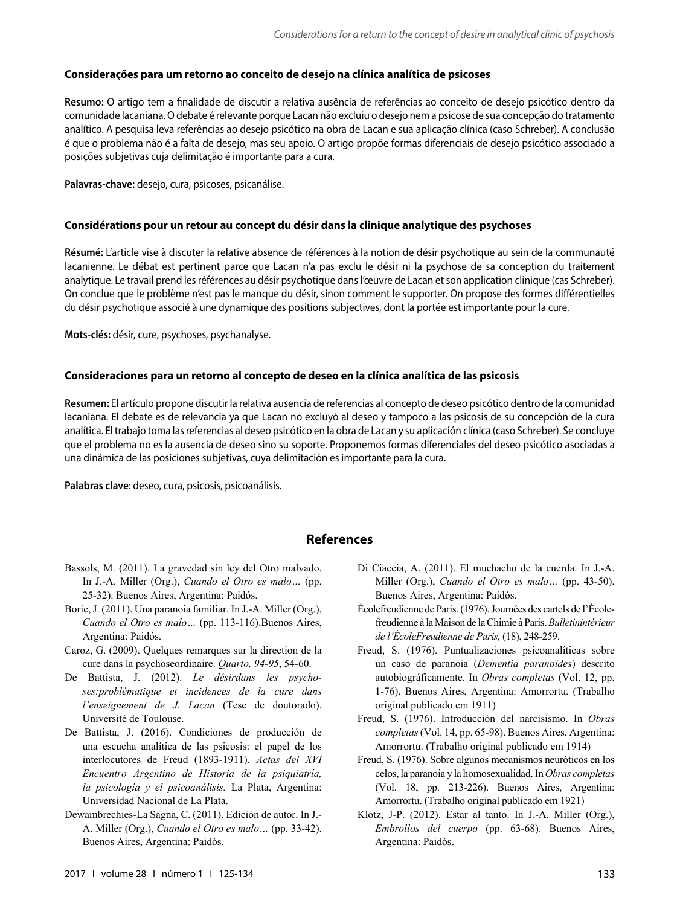#### **Considerações para um retorno ao conceito de desejo na clínica analítica de psicoses**

**Resumo:** O artigo tem a finalidade de discutir a relativa ausência de referências ao conceito de desejo psicótico dentro da comunidade lacaniana. O debate é relevante porque Lacan não excluiu o desejo nem a psicose de sua concepção do tratamento analítico. A pesquisa leva referências ao desejo psicótico na obra de Lacan e sua aplicação clínica (caso Schreber). A conclusão é que o problema não é a falta de desejo, mas seu apoio. O artigo propõe formas diferenciais de desejo psicótico associado a posições subjetivas cuja delimitação é importante para a cura.

**Palavras-chave:** desejo, cura, psicoses, psicanálise.

#### **Considérations pour un retour au concept du désir dans la clinique analytique des psychoses**

**Résumé:** L'article vise à discuter la relative absence de références à la notion de désir psychotique au sein de la communauté lacanienne. Le débat est pertinent parce que Lacan n'a pas exclu le désir ni la psychose de sa conception du traitement analytique. Le travail prend les références au désir psychotique dans l'œuvre de Lacan et son application clinique (cas Schreber). On conclue que le problème n'est pas le manque du désir, sinon comment le supporter. On propose des formes différentielles du désir psychotique associé à une dynamique des positions subjectives, dont la portée est importante pour la cure.

**Mots-clés:** désir, cure, psychoses, psychanalyse.

#### **Consideraciones para un retorno al concepto de deseo en la clínica analítica de las psicosis**

**Resumen:** El artículo propone discutir la relativa ausencia de referencias al concepto de deseo psicótico dentro de la comunidad lacaniana. El debate es de relevancia ya que Lacan no excluyó al deseo y tampoco a las psicosis de su concepción de la cura analítica. El trabajo toma las referencias al deseo psicótico en la obra de Lacan y su aplicación clínica (caso Schreber). Se concluye que el problema no es la ausencia de deseo sino su soporte. Proponemos formas diferenciales del deseo psicótico asociadas a una dinámica de las posiciones subjetivas, cuya delimitación es importante para la cura.

**Palabras clave**: deseo, cura, psicosis, psicoanálisis.

#### **References**

- Bassols, M. (2011). La gravedad sin ley del Otro malvado. In J.-A. Miller (Org.), *Cuando el Otro es malo…* (pp. 25-32). Buenos Aires, Argentina: Paidós.
- Borie, J. (2011). Una paranoia familiar. In J.-A. Miller (Org.), *Cuando el Otro es malo…* (pp. 113-116).Buenos Aires, Argentina: Paidós.
- Caroz, G. (2009). Quelques remarques sur la direction de la cure dans la psychoseordinaire. *Quarto, 94-95*, 54-60.
- De Battista, J. (2012). *Le désirdans les psychoses:problématique et incidences de la cure dans l'enseignement de J. Lacan* (Tese de doutorado). Université de Toulouse.
- De Battista, J. (2016). Condiciones de producción de una escucha analítica de las psicosis: el papel de los interlocutores de Freud (1893-1911). *Actas del XVI Encuentro Argentino de Historia de la psiquiatría, la psicología y el psicoanálisis.* La Plata, Argentina: Universidad Nacional de La Plata.
- Dewambrechies-La Sagna, C. (2011). Edición de autor. In J.- A. Miller (Org.), *Cuando el Otro es malo…* (pp. 33-42). Buenos Aires, Argentina: Paidós.
- Di Ciaccia, A. (2011). El muchacho de la cuerda. In J.-A. Miller (Org.), *Cuando el Otro es malo…* (pp. 43-50). Buenos Aires, Argentina: Paidós.
- Écolefreudienne de Paris. (1976). Journées des cartels de l'Écolefreudienne à la Maison de la Chimie à Paris. *Bulletinintérieur de l'ÉcoleFreudienne de Paris,* (18), 248-259.
- Freud, S. (1976). Puntualizaciones psicoanalíticas sobre un caso de paranoia (*Dementia paranoides*) descrito autobiográficamente. In *Obras completas* (Vol. 12, pp. 1-76). Buenos Aires, Argentina: Amorrortu. (Trabalho original publicado em 1911)
- Freud, S. (1976). Introducción del narcisismo. In *Obras completas* (Vol. 14, pp. 65-98). Buenos Aires, Argentina: Amorrortu. (Trabalho original publicado em 1914)
- Freud, S. (1976). Sobre algunos mecanismos neuróticos en los celos, la paranoia y la homosexualidad. In *Obras completas*  (Vol. 18, pp. 213-226). Buenos Aires, Argentina: Amorrortu. (Trabalho original publicado em 1921)
- Klotz, J-P. (2012). Estar al tanto. In J.-A. Miller (Org.), *Embrollos del cuerpo* (pp. 63-68). Buenos Aires, Argentina: Paidós.